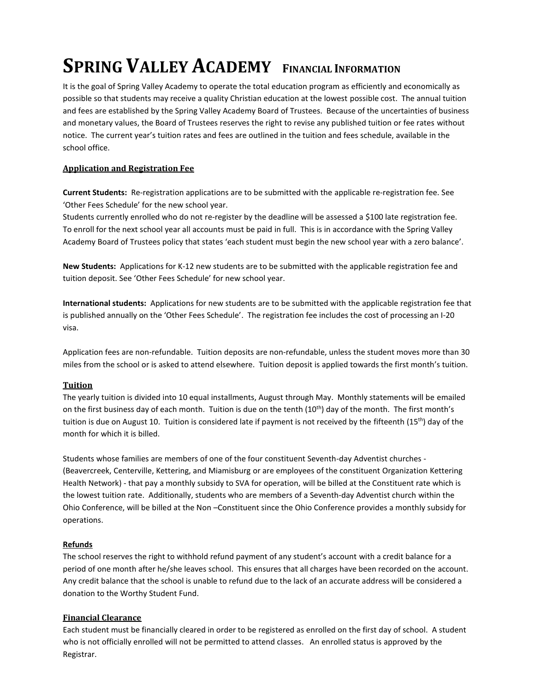# **SPRING VALLEY ACADEMY FINANCIAL INFORMATION**

It is the goal of Spring Valley Academy to operate the total education program as efficiently and economically as possible so that students may receive a quality Christian education at the lowest possible cost. The annual tuition and fees are established by the Spring Valley Academy Board of Trustees. Because of the uncertainties of business and monetary values, the Board of Trustees reserves the right to revise any published tuition or fee rates without notice. The current year's tuition rates and fees are outlined in the tuition and fees schedule, available in the school office.

# **Application and Registration Fee**

**Current Students:** Re-registration applications are to be submitted with the applicable re-registration fee. See 'Other Fees Schedule' for the new school year.

Students currently enrolled who do not re-register by the deadline will be assessed a \$100 late registration fee. To enroll for the next school year all accounts must be paid in full. This is in accordance with the Spring Valley Academy Board of Trustees policy that states 'each student must begin the new school year with a zero balance'.

**New Students:** Applications for K-12 new students are to be submitted with the applicable registration fee and tuition deposit. See 'Other Fees Schedule' for new school year.

**International students:** Applications for new students are to be submitted with the applicable registration fee that is published annually on the 'Other Fees Schedule'. The registration fee includes the cost of processing an I-20 visa.

Application fees are non-refundable. Tuition deposits are non-refundable, unless the student moves more than 30 miles from the school or is asked to attend elsewhere. Tuition deposit is applied towards the first month's tuition.

# **Tuition**

The yearly tuition is divided into 10 equal installments, August through May. Monthly statements will be emailed on the first business day of each month. Tuition is due on the tenth  $(10<sup>th</sup>)$  day of the month. The first month's tuition is due on August 10. Tuition is considered late if payment is not received by the fifteenth (15<sup>th</sup>) day of the month for which it is billed.

Students whose families are members of one of the four constituent Seventh-day Adventist churches - (Beavercreek, Centerville, Kettering, and Miamisburg or are employees of the constituent Organization Kettering Health Network) - that pay a monthly subsidy to SVA for operation, will be billed at the Constituent rate which is the lowest tuition rate. Additionally, students who are members of a Seventh-day Adventist church within the Ohio Conference, will be billed at the Non –Constituent since the Ohio Conference provides a monthly subsidy for operations.

# **Refunds**

The school reserves the right to withhold refund payment of any student's account with a credit balance for a period of one month after he/she leaves school. This ensures that all charges have been recorded on the account. Any credit balance that the school is unable to refund due to the lack of an accurate address will be considered a donation to the Worthy Student Fund.

# **Financial Clearance**

Each student must be financially cleared in order to be registered as enrolled on the first day of school. A student who is not officially enrolled will not be permitted to attend classes. An enrolled status is approved by the Registrar.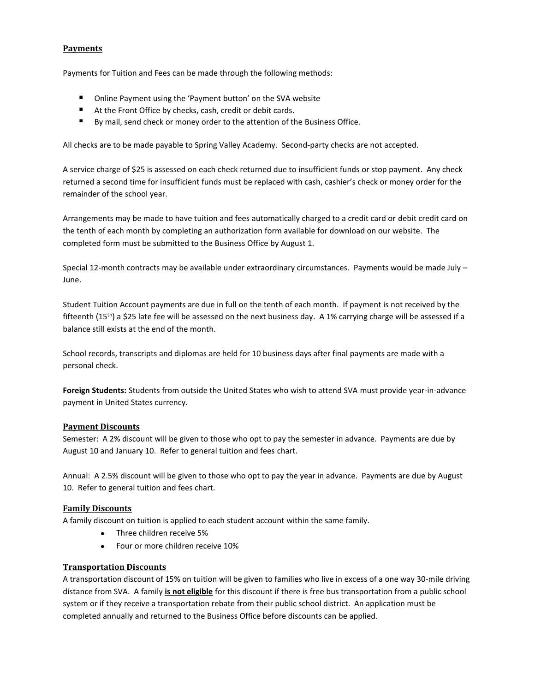## **Payments**

Payments for Tuition and Fees can be made through the following methods:

- Online Payment using the 'Payment button' on the SVA website
- At the Front Office by checks, cash, credit or debit cards.
- By mail, send check or money order to the attention of the Business Office.

All checks are to be made payable to Spring Valley Academy. Second-party checks are not accepted.

A service charge of \$25 is assessed on each check returned due to insufficient funds or stop payment. Any check returned a second time for insufficient funds must be replaced with cash, cashier's check or money order for the remainder of the school year.

Arrangements may be made to have tuition and fees automatically charged to a credit card or debit credit card on the tenth of each month by completing an authorization form available for download on our website. The completed form must be submitted to the Business Office by August 1.

Special 12-month contracts may be available under extraordinary circumstances. Payments would be made July – June.

Student Tuition Account payments are due in full on the tenth of each month. If payment is not received by the fifteenth (15<sup>th</sup>) a \$25 late fee will be assessed on the next business day. A 1% carrying charge will be assessed if a balance still exists at the end of the month.

School records, transcripts and diplomas are held for 10 business days after final payments are made with a personal check.

**Foreign Students:** Students from outside the United States who wish to attend SVA must provide year-in-advance payment in United States currency.

## **Payment Discounts**

Semester: A 2% discount will be given to those who opt to pay the semester in advance. Payments are due by August 10 and January 10. Refer to general tuition and fees chart.

Annual: A 2.5% discount will be given to those who opt to pay the year in advance. Payments are due by August 10. Refer to general tuition and fees chart.

## **Family Discounts**

A family discount on tuition is applied to each student account within the same family.

- Three children receive 5%
- Four or more children receive 10%

# **Transportation Discounts**

A transportation discount of 15% on tuition will be given to families who live in excess of a one way 30-mile driving distance from SVA. A family **is not eligible** for this discount if there is free bus transportation from a public school system or if they receive a transportation rebate from their public school district. An application must be completed annually and returned to the Business Office before discounts can be applied.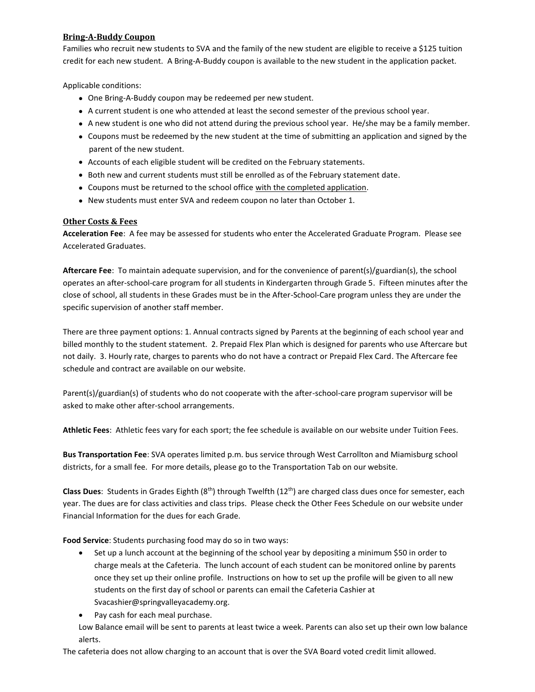## **Bring-A-Buddy Coupon**

Families who recruit new students to SVA and the family of the new student are eligible to receive a \$125 tuition credit for each new student. A Bring-A-Buddy coupon is available to the new student in the application packet.

Applicable conditions:

- One Bring-A-Buddy coupon may be redeemed per new student.
- A current student is one who attended at least the second semester of the previous school year.
- A new student is one who did not attend during the previous school year. He/she may be a family member.
- Coupons must be redeemed by the new student at the time of submitting an application and signed by the parent of the new student.
- Accounts of each eligible student will be credited on the February statements.
- Both new and current students must still be enrolled as of the February statement date.
- Coupons must be returned to the school office with the completed application.
- New students must enter SVA and redeem coupon no later than October 1.

#### **Other Costs & Fees**

**Acceleration Fee**: A fee may be assessed for students who enter the Accelerated Graduate Program. Please see Accelerated Graduates.

**Aftercare Fee**: To maintain adequate supervision, and for the convenience of parent(s)/guardian(s), the school operates an after-school-care program for all students in Kindergarten through Grade 5. Fifteen minutes after the close of school, all students in these Grades must be in the After-School-Care program unless they are under the specific supervision of another staff member.

There are three payment options: 1. Annual contracts signed by Parents at the beginning of each school year and billed monthly to the student statement. 2. Prepaid Flex Plan which is designed for parents who use Aftercare but not daily. 3. Hourly rate, charges to parents who do not have a contract or Prepaid Flex Card. The Aftercare fee schedule and contract are available on our website.

Parent(s)/guardian(s) of students who do not cooperate with the after-school-care program supervisor will be asked to make other after-school arrangements.

**Athletic Fees**: Athletic fees vary for each sport; the fee schedule is available on our website under Tuition Fees.

**Bus Transportation Fee**: SVA operates limited p.m. bus service through West Carrollton and Miamisburg school districts, for a small fee. For more details, please go to the Transportation Tab on our website.

**Class Dues**: Students in Grades Eighth (8th) through Twelfth (12th) are charged class dues once for semester, each year. The dues are for class activities and class trips. Please check the Other Fees Schedule on our website under Financial Information for the dues for each Grade.

**Food Service**: Students purchasing food may do so in two ways:

- Set up a lunch account at the beginning of the school year by depositing a minimum \$50 in order to charge meals at the Cafeteria. The lunch account of each student can be monitored online by parents once they set up their online profile. Instructions on how to set up the profile will be given to all new students on the first day of school or parents can email the Cafeteria Cashier at Svacashier@springvalleyacademy.org.
- Pay cash for each meal purchase.

Low Balance email will be sent to parents at least twice a week. Parents can also set up their own low balance alerts.

The cafeteria does not allow charging to an account that is over the SVA Board voted credit limit allowed.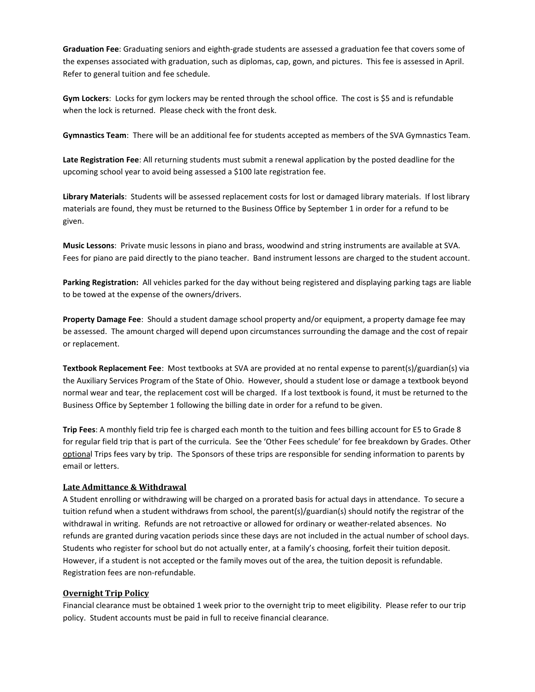**Graduation Fee**: Graduating seniors and eighth-grade students are assessed a graduation fee that covers some of the expenses associated with graduation, such as diplomas, cap, gown, and pictures. This fee is assessed in April. Refer to general tuition and fee schedule.

**Gym Lockers**: Locks for gym lockers may be rented through the school office. The cost is \$5 and is refundable when the lock is returned. Please check with the front desk.

**Gymnastics Team**: There will be an additional fee for students accepted as members of the SVA Gymnastics Team.

**Late Registration Fee**: All returning students must submit a renewal application by the posted deadline for the upcoming school year to avoid being assessed a \$100 late registration fee.

**Library Materials**: Students will be assessed replacement costs for lost or damaged library materials. If lost library materials are found, they must be returned to the Business Office by September 1 in order for a refund to be given.

**Music Lessons**: Private music lessons in piano and brass, woodwind and string instruments are available at SVA. Fees for piano are paid directly to the piano teacher. Band instrument lessons are charged to the student account.

**Parking Registration:** All vehicles parked for the day without being registered and displaying parking tags are liable to be towed at the expense of the owners/drivers.

**Property Damage Fee**: Should a student damage school property and/or equipment, a property damage fee may be assessed. The amount charged will depend upon circumstances surrounding the damage and the cost of repair or replacement.

**Textbook Replacement Fee**: Most textbooks at SVA are provided at no rental expense to parent(s)/guardian(s) via the Auxiliary Services Program of the State of Ohio. However, should a student lose or damage a textbook beyond normal wear and tear, the replacement cost will be charged. If a lost textbook is found, it must be returned to the Business Office by September 1 following the billing date in order for a refund to be given.

**Trip Fees**: A monthly field trip fee is charged each month to the tuition and fees billing account for E5 to Grade 8 for regular field trip that is part of the curricula. See the 'Other Fees schedule' for fee breakdown by Grades. Other optional Trips fees vary by trip. The Sponsors of these trips are responsible for sending information to parents by email or letters.

#### **Late Admittance & Withdrawal**

A Student enrolling or withdrawing will be charged on a prorated basis for actual days in attendance. To secure a tuition refund when a student withdraws from school, the parent(s)/guardian(s) should notify the registrar of the withdrawal in writing. Refunds are not retroactive or allowed for ordinary or weather-related absences. No refunds are granted during vacation periods since these days are not included in the actual number of school days. Students who register for school but do not actually enter, at a family's choosing, forfeit their tuition deposit. However, if a student is not accepted or the family moves out of the area, the tuition deposit is refundable. Registration fees are non-refundable.

## **Overnight Trip Policy**

Financial clearance must be obtained 1 week prior to the overnight trip to meet eligibility. Please refer to our trip policy. Student accounts must be paid in full to receive financial clearance.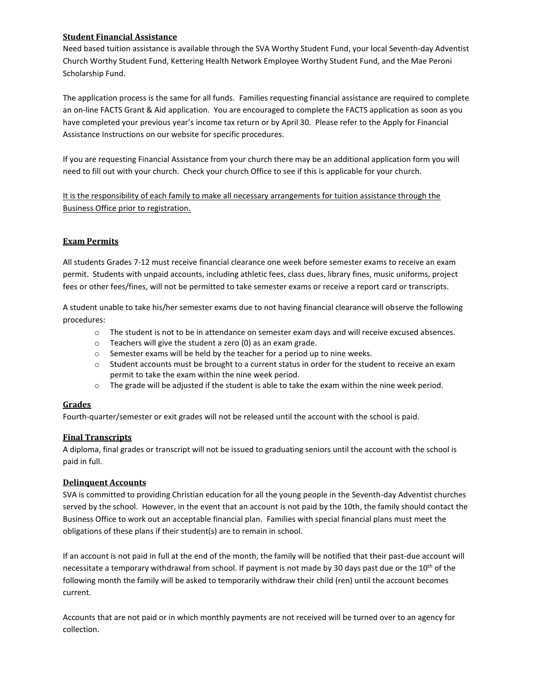## **Student Financial Assistance**

Need based tuition assistance is available through the SVA Worthy Student Fund, your local Seventh-day Adventist Church Worthy Student Fund, Kettering Health Network Employee Worthy Student Fund, and the Mae Peroni Scholarship Fund.

The application process is the same for all funds. Families requesting financial assistance are required to complete an on-line FACTS Grant & Aid application. You are encouraged to complete the FACTS application as soon as you have completed your previous year's income tax return or by April 30. Please refer to the Apply for Financial Assistance Instructions on our website for specific procedures.

If you are requesting Financial Assistance from your church there may be an additional application form you will need to fill out with your church. Check your church Office to see if this is applicable for your church.

It is the responsibility of each family to make all necessary arrangements for tuition assistance through the Business Office prior to registration.

## **Exam Permits**

All students Grades 7-12 must receive financial clearance one week before semester exams to receive an exam permit. Students with unpaid accounts, including athletic fees, class dues, library fines, music uniforms, project fees or other fees/fines, will not be permitted to take semester exams or receive a report card or transcripts.

A student unable to take his/her semester exams due to not having financial clearance will observe the following procedures:

- o The student is not to be in attendance on semester exam days and will receive excused absences.
- o Teachers will give the student a zero (0) as an exam grade.
- o Semester exams will be held by the teacher for a period up to nine weeks.
- $\circ$  Student accounts must be brought to a current status in order for the student to receive an exam permit to take the exam within the nine week period.
- o The grade will be adjusted if the student is able to take the exam within the nine week period.

## **Grades**

Fourth-quarter/semester or exit grades will not be released until the account with the school is paid.

# **Final Transcripts**

A diploma, final grades or transcript will not be issued to graduating seniors until the account with the school is paid in full.

## **Delinquent Accounts**

SVA is committed to providing Christian education for all the young people in the Seventh-day Adventist churches served by the school. However, in the event that an account is not paid by the 10th, the family should contact the Business Office to work out an acceptable financial plan. Families with special financial plans must meet the obligations of these plans if their student(s) are to remain in school.

If an account is not paid in full at the end of the month, the family will be notified that their past-due account will necessitate a temporary withdrawal from school. If payment is not made by 30 days past due or the 10<sup>th</sup> of the following month the family will be asked to temporarily withdraw their child (ren) until the account becomes current.

Accounts that are not paid or in which monthly payments are not received will be turned over to an agency for collection.